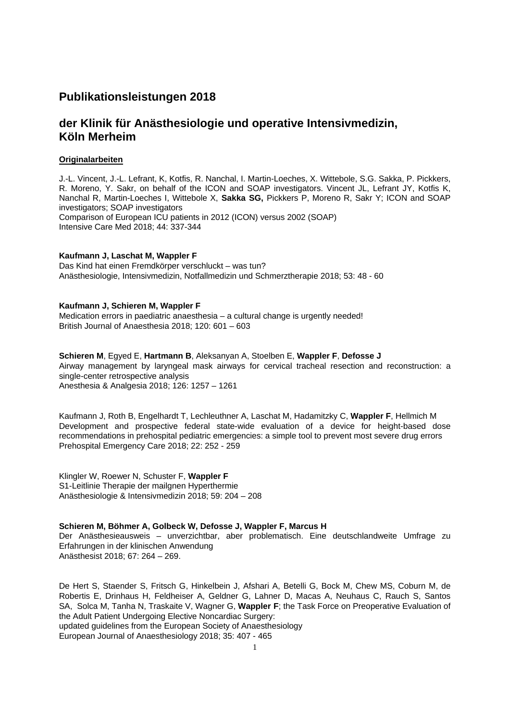# **Publikationsleistungen 2018**

# **der Klinik für Anästhesiologie und operative Intensivmedizin, Köln Merheim**

# **Originalarbeiten**

J.-L. Vincent, J.-L. Lefrant, K, Kotfis, R. Nanchal, I. Martin-Loeches, X. Wittebole, S.G. Sakka, P. Pickkers, R. Moreno, Y. Sakr, on behalf of the ICON and SOAP investigators. Vincent JL, Lefrant JY, Kotfis K, Nanchal R, Martin-Loeches I, Wittebole X, **Sakka SG,** Pickkers P, Moreno R, Sakr Y; ICON and SOAP investigators; SOAP investigators Comparison of European ICU patients in 2012 (ICON) versus 2002 (SOAP) Intensive Care Med 2018; 44: 337-344

# **Kaufmann J, Laschat M, Wappler F**

Das Kind hat einen Fremdkörper verschluckt – was tun? Anästhesiologie, Intensivmedizin, Notfallmedizin und Schmerztherapie 2018; 53: 48 - 60

# **Kaufmann J, Schieren M, Wappler F**

Medication errors in paediatric anaesthesia – a cultural change is urgently needed! British Journal of Anaesthesia 2018; 120: 601 – 603

**Schieren M**, Egyed E, **Hartmann B**, Aleksanyan A, Stoelben E, **Wappler F**, **Defosse J** Airway management by laryngeal mask airways for cervical tracheal resection and reconstruction: a single-center retrospective analysis Anesthesia & Analgesia 2018; 126: 1257 – 1261

Kaufmann J, Roth B, Engelhardt T, Lechleuthner A, Laschat M, Hadamitzky C, **Wappler F**, Hellmich M Development and prospective federal state-wide evaluation of a device for height-based dose recommendations in prehospital pediatric emergencies: a simple tool to prevent most severe drug errors Prehospital Emergency Care 2018; 22: 252 - 259

Klingler W, Roewer N, Schuster F, **Wappler F** S1-Leitlinie Therapie der mailgnen Hyperthermie Anästhesiologie & Intensivmedizin 2018; 59: 204 – 208

# **Schieren M, Böhmer A, Golbeck W, Defosse J, Wappler F, Marcus H**

Der Anästhesieausweis – unverzichtbar, aber problematisch. Eine deutschlandweite Umfrage zu Erfahrungen in der klinischen Anwendung Anästhesist 2018; 67: 264 – 269.

De Hert S, Staender S, Fritsch G, Hinkelbein J, Afshari A, Betelli G, Bock M, Chew MS, Coburn M, de Robertis E, Drinhaus H, Feldheiser A, Geldner G, Lahner D, Macas A, Neuhaus C, Rauch S, Santos SA, Solca M, Tanha N, Traskaite V, Wagner G, **Wappler F**; the Task Force on Preoperative Evaluation of the Adult Patient Undergoing Elective Noncardiac Surgery: updated guidelines from the European Society of Anaesthesiology European Journal of Anaesthesiology 2018; 35: 407 - 465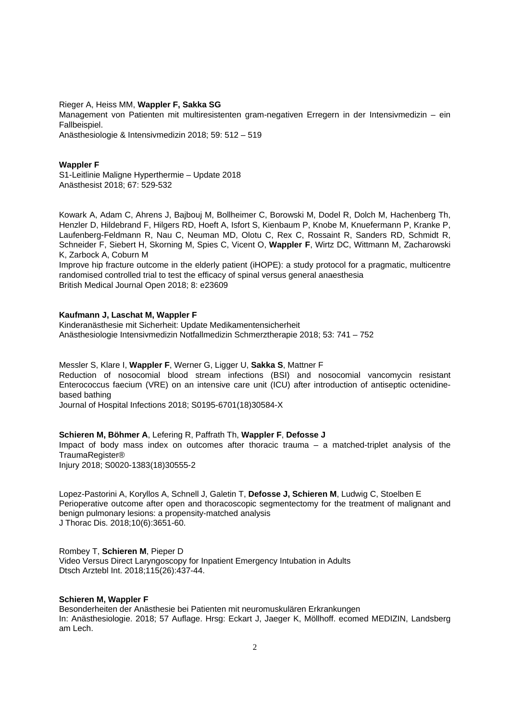Rieger A, Heiss MM, **Wappler F, Sakka SG**

Management von Patienten mit multiresistenten gram-negativen Erregern in der Intensivmedizin – ein Fallbeispiel.

Anästhesiologie & Intensivmedizin 2018; 59: 512 – 519

#### **Wappler F**

S1-Leitlinie Maligne Hyperthermie – Update 2018 Anästhesist 2018; 67: 529-532

Kowark A, Adam C, Ahrens J, Bajbouj M, Bollheimer C, Borowski M, Dodel R, Dolch M, Hachenberg Th, Henzler D, Hildebrand F, Hilgers RD, Hoeft A, Isfort S, Kienbaum P, Knobe M, Knuefermann P, Kranke P, Laufenberg-Feldmann R, Nau C, Neuman MD, Olotu C, Rex C, Rossaint R, Sanders RD, Schmidt R, Schneider F, Siebert H, Skorning M, Spies C, Vicent O, **Wappler F**, Wirtz DC, Wittmann M, Zacharowski K, Zarbock A, Coburn M

Improve hip fracture outcome in the elderly patient (iHOPE): a study protocol for a pragmatic, multicentre randomised controlled trial to test the efficacy of spinal versus general anaesthesia British Medical Journal Open 2018; 8: e23609

#### **Kaufmann J, Laschat M, Wappler F**

Kinderanästhesie mit Sicherheit: Update Medikamentensicherheit Anästhesiologie Intensivmedizin Notfallmedizin Schmerztherapie 2018; 53: 741 – 752

#### Messler S, Klare I, **Wappler F**, Werner G, Ligger U, **Sakka S**, Mattner F

Reduction of nosocomial blood stream infections (BSI) and nosocomial vancomycin resistant Enterococcus faecium (VRE) on an intensive care unit (ICU) after introduction of antiseptic octenidinebased bathing

Journal of Hospital Infections 2018; S0195-6701(18)30584-X

# **Schieren M, Böhmer A**, Lefering R, Paffrath Th, **Wappler F**, **Defosse J**

Impact of body mass index on outcomes after thoracic trauma – a matched-triplet analysis of the TraumaRegister®

Injury 2018; S0020-1383(18)30555-2

Lopez-Pastorini A, Koryllos A, Schnell J, Galetin T, **Defosse J, Schieren M**, Ludwig C, Stoelben E Perioperative outcome after open and thoracoscopic segmentectomy for the treatment of malignant and benign pulmonary lesions: a propensity-matched analysis J Thorac Dis. 2018;10(6):3651-60.

Rombey T, **Schieren M**, Pieper D Video Versus Direct Laryngoscopy for Inpatient Emergency Intubation in Adults Dtsch Arztebl Int. 2018;115(26):437-44.

#### **Schieren M, Wappler F**

Besonderheiten der Anästhesie bei Patienten mit neuromuskulären Erkrankungen In: Anästhesiologie. 2018; 57 Auflage. Hrsg: Eckart J, Jaeger K, Möllhoff. ecomed MEDIZIN, Landsberg am Lech.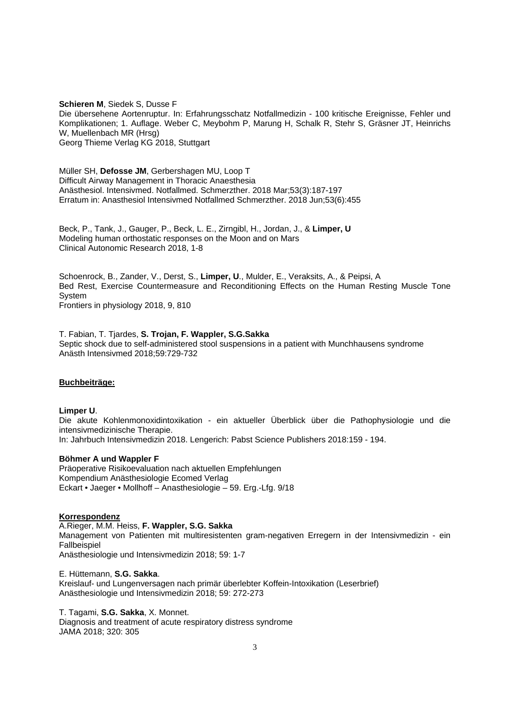**Schieren M**, Siedek S, Dusse F Die übersehene Aortenruptur. In: Erfahrungsschatz Notfallmedizin - 100 kritische Ereignisse, Fehler und Komplikationen; 1. Auflage. Weber C, Meybohm P, Marung H, Schalk R, Stehr S, Gräsner JT, Heinrichs W, Muellenbach MR (Hrsg) Georg Thieme Verlag KG 2018, Stuttgart

Müller SH, **Defosse JM**, Gerbershagen MU, Loop T Difficult Airway Management in Thoracic Anaesthesia Anästhesiol. Intensivmed. Notfallmed. Schmerzther. 2018 Mar;53(3):187-197 Erratum in: Anasthesiol Intensivmed Notfallmed Schmerzther. 2018 Jun;53(6):455

Beck, P., Tank, J., Gauger, P., Beck, L. E., Zirngibl, H., Jordan, J., & **Limper, U** Modeling human orthostatic responses on the Moon and on Mars Clinical Autonomic Research 2018, 1-8

Schoenrock, B., Zander, V., Derst, S., **Limper, U**., Mulder, E., Veraksits, A., & Peipsi, A Bed Rest, Exercise Countermeasure and Reconditioning Effects on the Human Resting Muscle Tone System

Frontiers in physiology 2018, 9, 810

T. Fabian, T. Tjardes, **S. Trojan, F. Wappler, S.G.Sakka** Septic shock due to self-administered stool suspensions in a patient with Munchhausens syndrome Anästh Intensivmed 2018;59:729-732

# **Buchbeiträge:**

#### **Limper U**.

Die akute Kohlenmonoxidintoxikation - ein aktueller Überblick über die Pathophysiologie und die intensivmedizinische Therapie. In: Jahrbuch Intensivmedizin 2018. Lengerich: Pabst Science Publishers 2018:159 - 194.

#### **Böhmer A und Wappler F**

Präoperative Risikoevaluation nach aktuellen Empfehlungen Kompendium Anästhesiologie Ecomed Verlag Eckart • Jaeger • Mollhoff – Anasthesiologie – 59. Erg.-Lfg. 9/18

#### **Korrespondenz**

A.Rieger, M.M. Heiss, **F. Wappler, S.G. Sakka** Management von Patienten mit multiresistenten gram-negativen Erregern in der Intensivmedizin - ein Fallbeispiel Anästhesiologie und Intensivmedizin 2018; 59: 1-7

E. Hüttemann, **S.G. Sakka**. Kreislauf- und Lungenversagen nach primär überlebter Koffein-Intoxikation (Leserbrief) Anästhesiologie und Intensivmedizin 2018; 59: 272-273

T. Tagami, **S.G. Sakka**, X. Monnet.

Diagnosis and treatment of acute respiratory distress syndrome JAMA 2018; 320: 305